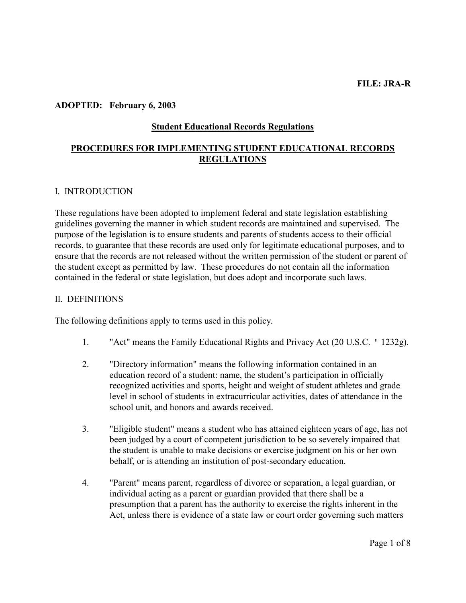### ADOPTED: February 6, 2003

### Student Educational Records Regulations

## PROCEDURES FOR IMPLEMENTING STUDENT EDUCATIONAL RECORDS **REGULATIONS**

#### I. INTRODUCTION

These regulations have been adopted to implement federal and state legislation establishing guidelines governing the manner in which student records are maintained and supervised. The purpose of the legislation is to ensure students and parents of students access to their official records, to guarantee that these records are used only for legitimate educational purposes, and to ensure that the records are not released without the written permission of the student or parent of the student except as permitted by law. These procedures do not contain all the information contained in the federal or state legislation, but does adopt and incorporate such laws.

### II. DEFINITIONS

The following definitions apply to terms used in this policy.

- 1. "Act" means the Family Educational Rights and Privacy Act (20 U.S.C. ' 1232g).
- 2. "Directory information" means the following information contained in an education record of a student: name, the student's participation in officially recognized activities and sports, height and weight of student athletes and grade level in school of students in extracurricular activities, dates of attendance in the school unit, and honors and awards received.
- 3. "Eligible student" means a student who has attained eighteen years of age, has not been judged by a court of competent jurisdiction to be so severely impaired that the student is unable to make decisions or exercise judgment on his or her own behalf, or is attending an institution of post-secondary education.
- 4. "Parent" means parent, regardless of divorce or separation, a legal guardian, or individual acting as a parent or guardian provided that there shall be a presumption that a parent has the authority to exercise the rights inherent in the Act, unless there is evidence of a state law or court order governing such matters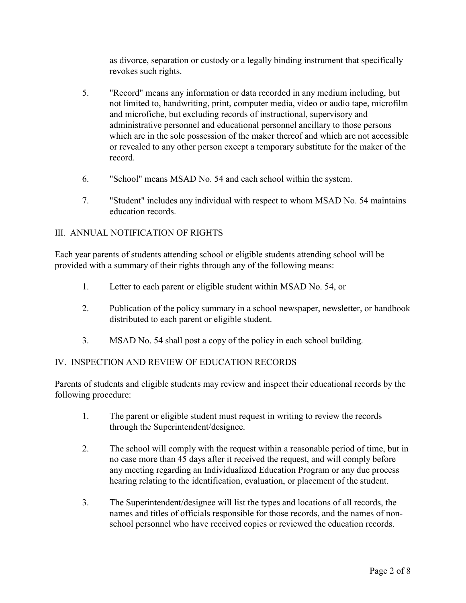as divorce, separation or custody or a legally binding instrument that specifically revokes such rights.

- 5. "Record" means any information or data recorded in any medium including, but not limited to, handwriting, print, computer media, video or audio tape, microfilm and microfiche, but excluding records of instructional, supervisory and administrative personnel and educational personnel ancillary to those persons which are in the sole possession of the maker thereof and which are not accessible or revealed to any other person except a temporary substitute for the maker of the record.
- 6. "School" means MSAD No. 54 and each school within the system.
- 7. "Student" includes any individual with respect to whom MSAD No. 54 maintains education records.

## III. ANNUAL NOTIFICATION OF RIGHTS

Each year parents of students attending school or eligible students attending school will be provided with a summary of their rights through any of the following means:

- 1. Letter to each parent or eligible student within MSAD No. 54, or
- 2. Publication of the policy summary in a school newspaper, newsletter, or handbook distributed to each parent or eligible student.
- 3. MSAD No. 54 shall post a copy of the policy in each school building.

# IV. INSPECTION AND REVIEW OF EDUCATION RECORDS

Parents of students and eligible students may review and inspect their educational records by the following procedure:

- 1. The parent or eligible student must request in writing to review the records through the Superintendent/designee.
- 2. The school will comply with the request within a reasonable period of time, but in no case more than 45 days after it received the request, and will comply before any meeting regarding an Individualized Education Program or any due process hearing relating to the identification, evaluation, or placement of the student.
- 3. The Superintendent/designee will list the types and locations of all records, the names and titles of officials responsible for those records, and the names of nonschool personnel who have received copies or reviewed the education records.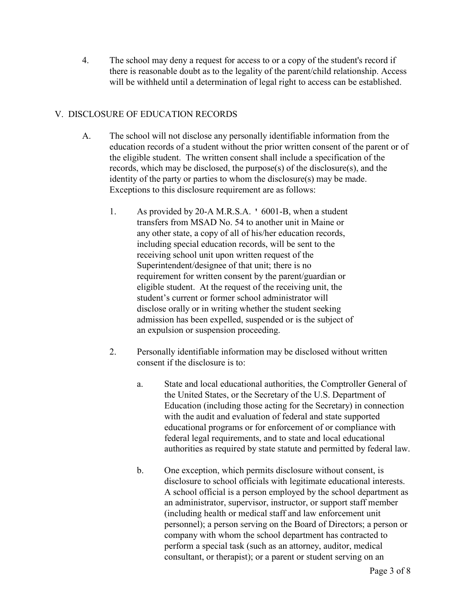4. The school may deny a request for access to or a copy of the student's record if there is reasonable doubt as to the legality of the parent/child relationship. Access will be withheld until a determination of legal right to access can be established.

## V. DISCLOSURE OF EDUCATION RECORDS

- A. The school will not disclose any personally identifiable information from the education records of a student without the prior written consent of the parent or of the eligible student. The written consent shall include a specification of the records, which may be disclosed, the purpose(s) of the disclosure(s), and the identity of the party or parties to whom the disclosure(s) may be made. Exceptions to this disclosure requirement are as follows:
	- 1. As provided by 20-A M.R.S.A. ' 6001-B, when a student transfers from MSAD No. 54 to another unit in Maine or any other state, a copy of all of his/her education records, including special education records, will be sent to the receiving school unit upon written request of the Superintendent/designee of that unit; there is no requirement for written consent by the parent/guardian or eligible student. At the request of the receiving unit, the student's current or former school administrator will disclose orally or in writing whether the student seeking admission has been expelled, suspended or is the subject of an expulsion or suspension proceeding.
	- 2. Personally identifiable information may be disclosed without written consent if the disclosure is to:
		- a. State and local educational authorities, the Comptroller General of the United States, or the Secretary of the U.S. Department of Education (including those acting for the Secretary) in connection with the audit and evaluation of federal and state supported educational programs or for enforcement of or compliance with federal legal requirements, and to state and local educational authorities as required by state statute and permitted by federal law.
		- b. One exception, which permits disclosure without consent, is disclosure to school officials with legitimate educational interests. A school official is a person employed by the school department as an administrator, supervisor, instructor, or support staff member (including health or medical staff and law enforcement unit personnel); a person serving on the Board of Directors; a person or company with whom the school department has contracted to perform a special task (such as an attorney, auditor, medical consultant, or therapist); or a parent or student serving on an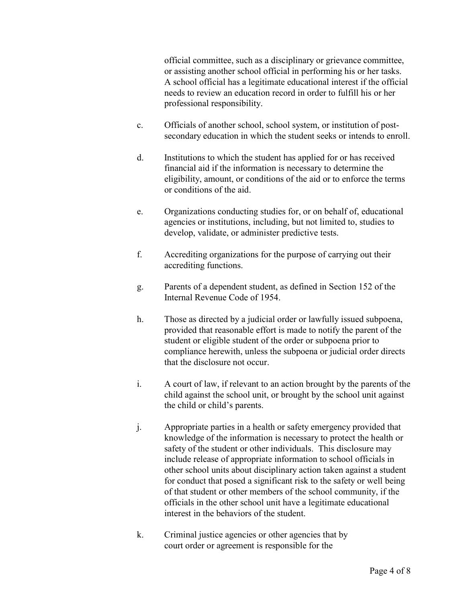official committee, such as a disciplinary or grievance committee, or assisting another school official in performing his or her tasks. A school official has a legitimate educational interest if the official needs to review an education record in order to fulfill his or her professional responsibility.

- c. Officials of another school, school system, or institution of postsecondary education in which the student seeks or intends to enroll.
- d. Institutions to which the student has applied for or has received financial aid if the information is necessary to determine the eligibility, amount, or conditions of the aid or to enforce the terms or conditions of the aid.
- e. Organizations conducting studies for, or on behalf of, educational agencies or institutions, including, but not limited to, studies to develop, validate, or administer predictive tests.
- f. Accrediting organizations for the purpose of carrying out their accrediting functions.
- g. Parents of a dependent student, as defined in Section 152 of the Internal Revenue Code of 1954.
- h. Those as directed by a judicial order or lawfully issued subpoena, provided that reasonable effort is made to notify the parent of the student or eligible student of the order or subpoena prior to compliance herewith, unless the subpoena or judicial order directs that the disclosure not occur.
- i. A court of law, if relevant to an action brought by the parents of the child against the school unit, or brought by the school unit against the child or child's parents.
- j. Appropriate parties in a health or safety emergency provided that knowledge of the information is necessary to protect the health or safety of the student or other individuals. This disclosure may include release of appropriate information to school officials in other school units about disciplinary action taken against a student for conduct that posed a significant risk to the safety or well being of that student or other members of the school community, if the officials in the other school unit have a legitimate educational interest in the behaviors of the student.
- k. Criminal justice agencies or other agencies that by court order or agreement is responsible for the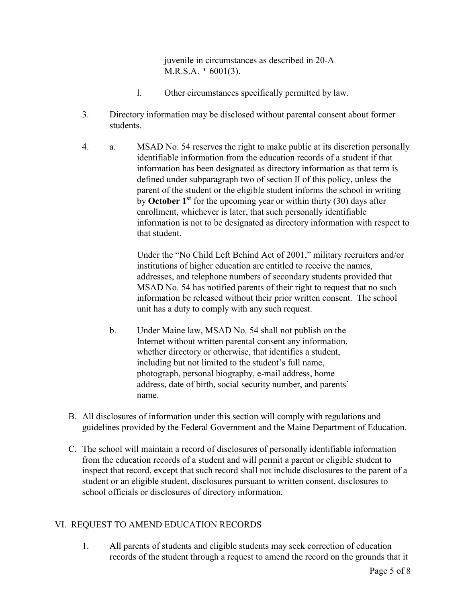juvenile in circumstances as described in 20-A M.R.S.A. ' 6001(3).

- l. Other circumstances specifically permitted by law.
- 3. Directory information may be disclosed without parental consent about former students.
- 4. a. MSAD No. 54 reserves the right to make public at its discretion personally identifiable information from the education records of a student if that information has been designated as directory information as that term is defined under subparagraph two of section II of this policy, unless the parent of the student or the eligible student informs the school in writing by October  $1<sup>st</sup>$  for the upcoming year or within thirty (30) days after enrollment, whichever is later, that such personally identifiable information is not to be designated as directory information with respect to that student.

Under the "No Child Left Behind Act of 2001," military recruiters and/or institutions of higher education are entitled to receive the names, addresses, and telephone numbers of secondary students provided that MSAD No. 54 has notified parents of their right to request that no such information be released without their prior written consent. The school unit has a duty to comply with any such request.

- b. Under Maine law, MSAD No. 54 shall not publish on the Internet without written parental consent any information, whether directory or otherwise, that identifies a student, including but not limited to the student's full name, photograph, personal biography, e-mail address, home address, date of birth, social security number, and parents' name.
- B. All disclosures of information under this section will comply with regulations and guidelines provided by the Federal Government and the Maine Department of Education.
- C. The school will maintain a record of disclosures of personally identifiable information from the education records of a student and will permit a parent or eligible student to inspect that record, except that such record shall not include disclosures to the parent of a student or an eligible student, disclosures pursuant to written consent, disclosures to school officials or disclosures of directory information.

## VI. REQUEST TO AMEND EDUCATION RECORDS

1. All parents of students and eligible students may seek correction of education records of the student through a request to amend the record on the grounds that it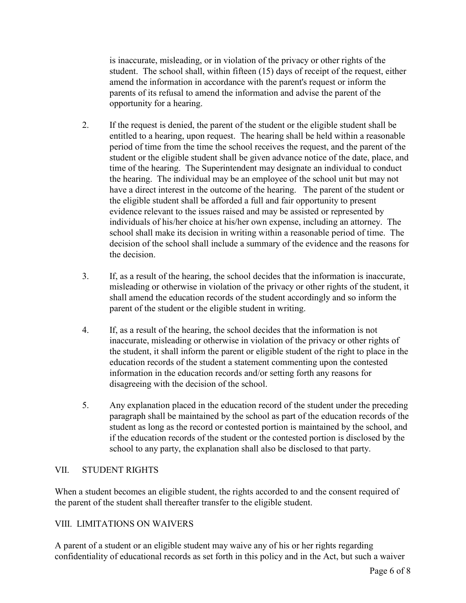is inaccurate, misleading, or in violation of the privacy or other rights of the student. The school shall, within fifteen (15) days of receipt of the request, either amend the information in accordance with the parent's request or inform the parents of its refusal to amend the information and advise the parent of the opportunity for a hearing.

- 2. If the request is denied, the parent of the student or the eligible student shall be entitled to a hearing, upon request. The hearing shall be held within a reasonable period of time from the time the school receives the request, and the parent of the student or the eligible student shall be given advance notice of the date, place, and time of the hearing. The Superintendent may designate an individual to conduct the hearing. The individual may be an employee of the school unit but may not have a direct interest in the outcome of the hearing. The parent of the student or the eligible student shall be afforded a full and fair opportunity to present evidence relevant to the issues raised and may be assisted or represented by individuals of his/her choice at his/her own expense, including an attorney. The school shall make its decision in writing within a reasonable period of time. The decision of the school shall include a summary of the evidence and the reasons for the decision.
- 3. If, as a result of the hearing, the school decides that the information is inaccurate, misleading or otherwise in violation of the privacy or other rights of the student, it shall amend the education records of the student accordingly and so inform the parent of the student or the eligible student in writing.
- 4. If, as a result of the hearing, the school decides that the information is not inaccurate, misleading or otherwise in violation of the privacy or other rights of the student, it shall inform the parent or eligible student of the right to place in the education records of the student a statement commenting upon the contested information in the education records and/or setting forth any reasons for disagreeing with the decision of the school.
- 5. Any explanation placed in the education record of the student under the preceding paragraph shall be maintained by the school as part of the education records of the student as long as the record or contested portion is maintained by the school, and if the education records of the student or the contested portion is disclosed by the school to any party, the explanation shall also be disclosed to that party.

## VII. STUDENT RIGHTS

When a student becomes an eligible student, the rights accorded to and the consent required of the parent of the student shall thereafter transfer to the eligible student.

## VIII. LIMITATIONS ON WAIVERS

A parent of a student or an eligible student may waive any of his or her rights regarding confidentiality of educational records as set forth in this policy and in the Act, but such a waiver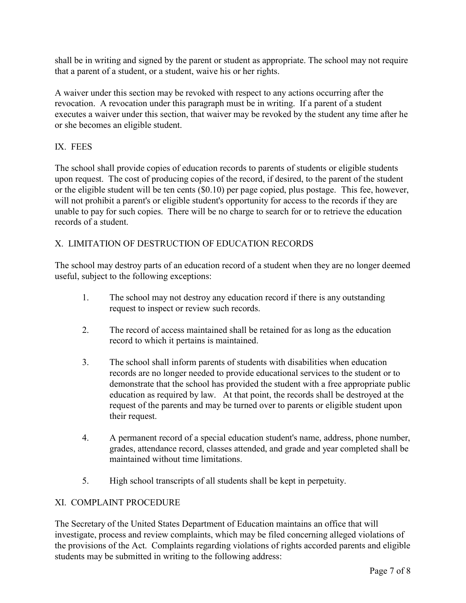shall be in writing and signed by the parent or student as appropriate. The school may not require that a parent of a student, or a student, waive his or her rights.

A waiver under this section may be revoked with respect to any actions occurring after the revocation. A revocation under this paragraph must be in writing. If a parent of a student executes a waiver under this section, that waiver may be revoked by the student any time after he or she becomes an eligible student.

# IX. FEES

The school shall provide copies of education records to parents of students or eligible students upon request. The cost of producing copies of the record, if desired, to the parent of the student or the eligible student will be ten cents (\$0.10) per page copied, plus postage. This fee, however, will not prohibit a parent's or eligible student's opportunity for access to the records if they are unable to pay for such copies. There will be no charge to search for or to retrieve the education records of a student.

# X. LIMITATION OF DESTRUCTION OF EDUCATION RECORDS

The school may destroy parts of an education record of a student when they are no longer deemed useful, subject to the following exceptions:

- 1. The school may not destroy any education record if there is any outstanding request to inspect or review such records.
- 2. The record of access maintained shall be retained for as long as the education record to which it pertains is maintained.
- 3. The school shall inform parents of students with disabilities when education records are no longer needed to provide educational services to the student or to demonstrate that the school has provided the student with a free appropriate public education as required by law. At that point, the records shall be destroyed at the request of the parents and may be turned over to parents or eligible student upon their request.
- 4. A permanent record of a special education student's name, address, phone number, grades, attendance record, classes attended, and grade and year completed shall be maintained without time limitations.
- 5. High school transcripts of all students shall be kept in perpetuity.

## XI. COMPLAINT PROCEDURE

The Secretary of the United States Department of Education maintains an office that will investigate, process and review complaints, which may be filed concerning alleged violations of the provisions of the Act. Complaints regarding violations of rights accorded parents and eligible students may be submitted in writing to the following address: